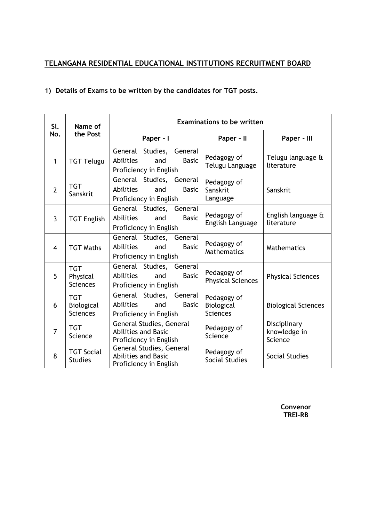## **TELANGANA RESIDENTIAL EDUCATIONAL INSTITUTIONS RECRUITMENT BOARD**

## **1) Details of Exams to be written by the candidates for TGT posts.**

| SI.<br>No.     | Name of<br>the Post                         | <b>Examinations to be written</b>                                                             |                                              |                                         |  |
|----------------|---------------------------------------------|-----------------------------------------------------------------------------------------------|----------------------------------------------|-----------------------------------------|--|
|                |                                             | Paper - I                                                                                     | Paper - II                                   | Paper - III                             |  |
| $\mathbf{1}$   | <b>TGT Telugu</b>                           | General Studies, General<br><b>Abilities</b><br><b>Basic</b><br>and<br>Proficiency in English | Pedagogy of<br>Telugu Language               | Telugu language &<br>literature         |  |
| $\overline{2}$ | <b>TGT</b><br>Sanskrit                      | General Studies, General<br>Abilities<br><b>Basic</b><br>and<br>Proficiency in English        | Pedagogy of<br>Sanskrit<br>Language          | Sanskrit                                |  |
| $\overline{3}$ | <b>TGT English</b>                          | General Studies, General<br><b>Abilities</b><br><b>Basic</b><br>and<br>Proficiency in English | Pedagogy of<br>English Language              | English language &<br>literature        |  |
| $\overline{4}$ | <b>TGT Maths</b>                            | General Studies, General<br><b>Abilities</b><br><b>Basic</b><br>and<br>Proficiency in English | Pedagogy of<br>Mathematics                   | Mathematics                             |  |
| 5              | <b>TGT</b><br>Physical<br><b>Sciences</b>   | General Studies, General<br><b>Abilities</b><br><b>Basic</b><br>and<br>Proficiency in English | Pedagogy of<br><b>Physical Sciences</b>      | <b>Physical Sciences</b>                |  |
| 6              | <b>TGT</b><br>Biological<br><b>Sciences</b> | General Studies, General<br><b>Abilities</b><br><b>Basic</b><br>and<br>Proficiency in English | Pedagogy of<br>Biological<br><b>Sciences</b> | <b>Biological Sciences</b>              |  |
| $\overline{7}$ | <b>TGT</b><br>Science                       | General Studies, General<br><b>Abilities and Basic</b><br>Proficiency in English              | Pedagogy of<br>Science                       | Disciplinary<br>knowledge in<br>Science |  |
| 8              | <b>TGT Social</b><br><b>Studies</b>         | General Studies, General<br><b>Abilities and Basic</b><br>Proficiency in English              | Pedagogy of<br>Social Studies                | Social Studies                          |  |

**Convenor TREI-RB**